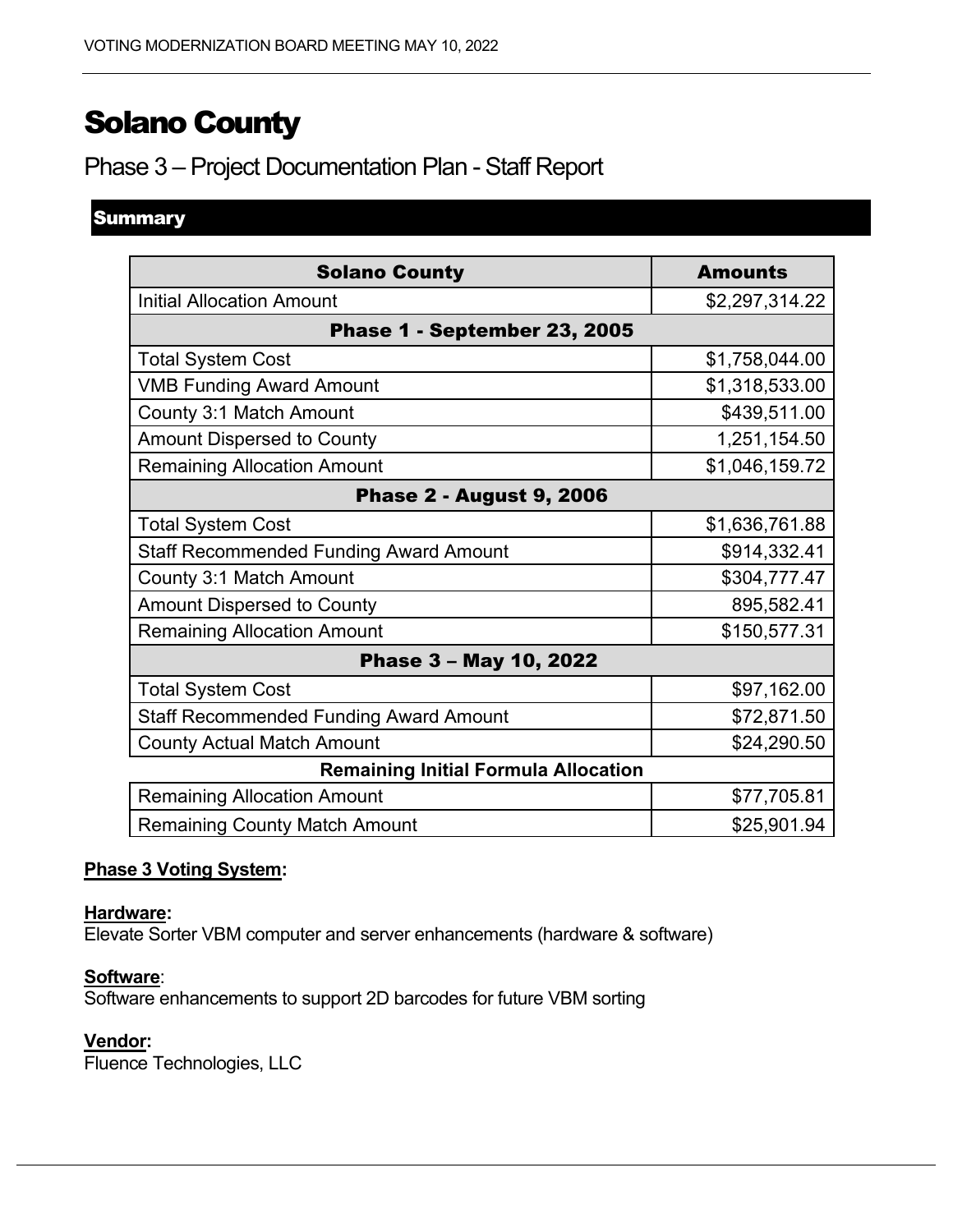# Solano County

# Phase 3 – Project Documentation Plan - Staff Report

# **Summary**

| <b>Solano County</b>                          | <b>Amounts</b> |
|-----------------------------------------------|----------------|
| <b>Initial Allocation Amount</b>              | \$2,297,314.22 |
| Phase 1 - September 23, 2005                  |                |
| <b>Total System Cost</b>                      | \$1,758,044.00 |
| <b>VMB Funding Award Amount</b>               | \$1,318,533.00 |
| County 3:1 Match Amount                       | \$439,511.00   |
| <b>Amount Dispersed to County</b>             | 1,251,154.50   |
| <b>Remaining Allocation Amount</b>            | \$1,046,159.72 |
| <b>Phase 2 - August 9, 2006</b>               |                |
| <b>Total System Cost</b>                      | \$1,636,761.88 |
| <b>Staff Recommended Funding Award Amount</b> | \$914,332.41   |
| County 3:1 Match Amount                       | \$304,777.47   |
| <b>Amount Dispersed to County</b>             | 895,582.41     |
| <b>Remaining Allocation Amount</b>            | \$150,577.31   |
| Phase 3 - May 10, 2022                        |                |
| <b>Total System Cost</b>                      | \$97,162.00    |
| <b>Staff Recommended Funding Award Amount</b> | \$72,871.50    |
| <b>County Actual Match Amount</b>             | \$24,290.50    |
| <b>Remaining Initial Formula Allocation</b>   |                |
| <b>Remaining Allocation Amount</b>            | \$77,705.81    |
| <b>Remaining County Match Amount</b>          | \$25,901.94    |

## **Phase 3 Voting System:**

#### **Hardware:**

Elevate Sorter VBM computer and server enhancements (hardware & software)

#### **Software**:

Software enhancements to support 2D barcodes for future VBM sorting

#### **Vendor:**

Fluence Technologies, LLC